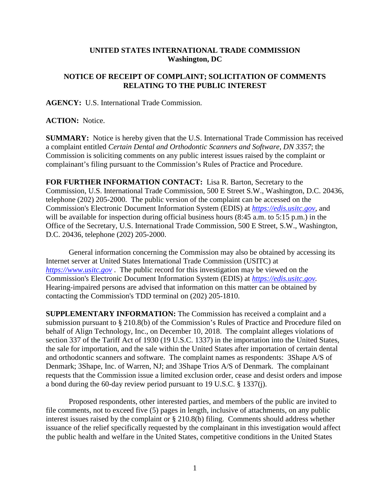## **UNITED STATES INTERNATIONAL TRADE COMMISSION Washington, DC**

## **NOTICE OF RECEIPT OF COMPLAINT; SOLICITATION OF COMMENTS RELATING TO THE PUBLIC INTEREST**

**AGENCY:** U.S. International Trade Commission.

## **ACTION:** Notice.

**SUMMARY:** Notice is hereby given that the U.S. International Trade Commission has received a complaint entitled *Certain Dental and Orthodontic Scanners and Software, DN 3357*; the Commission is soliciting comments on any public interest issues raised by the complaint or complainant's filing pursuant to the Commission's Rules of Practice and Procedure.

**FOR FURTHER INFORMATION CONTACT:** Lisa R. Barton, Secretary to the Commission, U.S. International Trade Commission, 500 E Street S.W., Washington, D.C. 20436, telephone (202) 205-2000. The public version of the complaint can be accessed on the Commission's Electronic Document Information System (EDIS) at *[https://edis.usitc.gov](https://edis.usitc.gov/)*, and will be available for inspection during official business hours (8:45 a.m. to 5:15 p.m.) in the Office of the Secretary, U.S. International Trade Commission, 500 E Street, S.W., Washington, D.C. 20436, telephone (202) 205-2000.

General information concerning the Commission may also be obtained by accessing its Internet server at United States International Trade Commission (USITC) at *[https://www.usitc.gov](https://www.usitc.gov/)* . The public record for this investigation may be viewed on the Commission's Electronic Document Information System (EDIS) at *[https://edis.usitc.gov.](https://edis.usitc.gov/)* Hearing-impaired persons are advised that information on this matter can be obtained by contacting the Commission's TDD terminal on (202) 205-1810.

**SUPPLEMENTARY INFORMATION:** The Commission has received a complaint and a submission pursuant to § 210.8(b) of the Commission's Rules of Practice and Procedure filed on behalf of Align Technology, Inc., on December 10, 2018. The complaint alleges violations of section 337 of the Tariff Act of 1930 (19 U.S.C. 1337) in the importation into the United States, the sale for importation, and the sale within the United States after importation of certain dental and orthodontic scanners and software. The complaint names as respondents: 3Shape A/S of Denmark; 3Shape, Inc. of Warren, NJ; and 3Shape Trios A/S of Denmark. The complainant requests that the Commission issue a limited exclusion order, cease and desist orders and impose a bond during the 60-day review period pursuant to 19 U.S.C. § 1337(j).

Proposed respondents, other interested parties, and members of the public are invited to file comments, not to exceed five (5) pages in length, inclusive of attachments, on any public interest issues raised by the complaint or § 210.8(b) filing. Comments should address whether issuance of the relief specifically requested by the complainant in this investigation would affect the public health and welfare in the United States, competitive conditions in the United States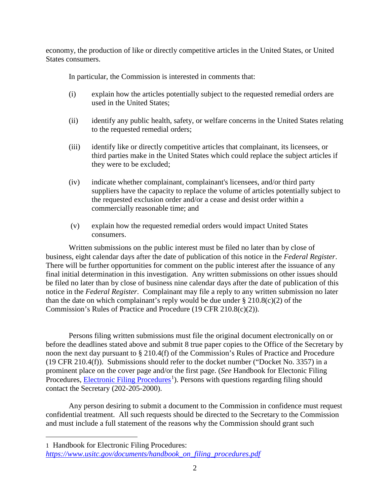economy, the production of like or directly competitive articles in the United States, or United States consumers.

In particular, the Commission is interested in comments that:

- (i) explain how the articles potentially subject to the requested remedial orders are used in the United States;
- (ii) identify any public health, safety, or welfare concerns in the United States relating to the requested remedial orders;
- (iii) identify like or directly competitive articles that complainant, its licensees, or third parties make in the United States which could replace the subject articles if they were to be excluded;
- (iv) indicate whether complainant, complainant's licensees, and/or third party suppliers have the capacity to replace the volume of articles potentially subject to the requested exclusion order and/or a cease and desist order within a commercially reasonable time; and
- (v) explain how the requested remedial orders would impact United States consumers.

Written submissions on the public interest must be filed no later than by close of business, eight calendar days after the date of publication of this notice in the *Federal Register*. There will be further opportunities for comment on the public interest after the issuance of any final initial determination in this investigation. Any written submissions on other issues should be filed no later than by close of business nine calendar days after the date of publication of this notice in the *Federal Register*. Complainant may file a reply to any written submission no later than the date on which complainant's reply would be due under  $\S 210.8(c)(2)$  of the Commission's Rules of Practice and Procedure (19 CFR 210.8(c)(2)).

Persons filing written submissions must file the original document electronically on or before the deadlines stated above and submit 8 true paper copies to the Office of the Secretary by noon the next day pursuant to § 210.4(f) of the Commission's Rules of Practice and Procedure (19 CFR 210.4(f)). Submissions should refer to the docket number ("Docket No. 3357) in a prominent place on the cover page and/or the first page. (*See* Handbook for Electonic Filing Procedures, **Electronic Filing Procedures**<sup>[1](#page-1-0)</sup>). Persons with questions regarding filing should contact the Secretary (202-205-2000).

Any person desiring to submit a document to the Commission in confidence must request confidential treatment. All such requests should be directed to the Secretary to the Commission and must include a full statement of the reasons why the Commission should grant such

<span id="page-1-0"></span>1 Handbook for Electronic Filing Procedures:

 $\overline{a}$ 

*[https://www.usitc.gov/documents/handbook\\_on\\_filing\\_procedures.pdf](https://www.usitc.gov/documents/handbook_on_filing_procedures.pdf)*